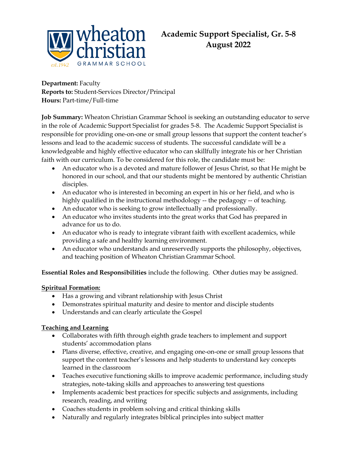

**Department:** Faculty **Reports to:** Student-Services Director/Principal **Hours:** Part-time/Full-time

**Job Summary:** Wheaton Christian Grammar School is seeking an outstanding educator to serve in the role of Academic Support Specialist for grades 5-8. The Academic Support Specialist is responsible for providing one-on-one or small group lessons that support the content teacher's lessons and lead to the academic success of students. The successful candidate will be a knowledgeable and highly effective educator who can skillfully integrate his or her Christian faith with our curriculum. To be considered for this role, the candidate must be:

- An educator who is a devoted and mature follower of Jesus Christ, so that He might be honored in our school, and that our students might be mentored by authentic Christian disciples.
- An educator who is interested in becoming an expert in his or her field, and who is highly qualified in the instructional methodology -- the pedagogy -- of teaching.
- An educator who is seeking to grow intellectually and professionally.
- An educator who invites students into the great works that God has prepared in advance for us to do.
- An educator who is ready to integrate vibrant faith with excellent academics, while providing a safe and healthy learning environment.
- An educator who understands and unreservedly supports the philosophy, objectives, and teaching position of Wheaton Christian Grammar School.

**Essential Roles and Responsibilities** include the following. Other duties may be assigned.

## **Spiritual Formation:**

- Has a growing and vibrant relationship with Jesus Christ
- Demonstrates spiritual maturity and desire to mentor and disciple students
- Understands and can clearly articulate the Gospel

## **Teaching and Learning**

- Collaborates with fifth through eighth grade teachers to implement and support students' accommodation plans
- Plans diverse, effective, creative, and engaging one-on-one or small group lessons that support the content teacher's lessons and help students to understand key concepts learned in the classroom
- Teaches executive functioning skills to improve academic performance, including study strategies, note-taking skills and approaches to answering test questions
- Implements academic best practices for specific subjects and assignments, including research, reading, and writing
- Coaches students in problem solving and critical thinking skills
- Naturally and regularly integrates biblical principles into subject matter